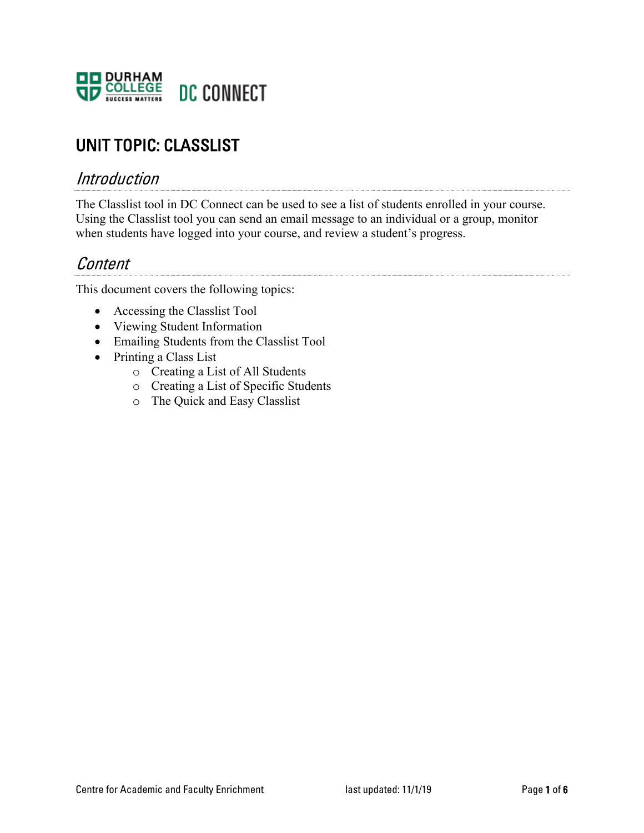

# UNIT TOPIC: CLASSLIST

### Introduction

The Classlist tool in DC Connect can be used to see a list of students enrolled in your course. Using the Classlist tool you can send an email message to an individual or a group, monitor when students have logged into your course, and review a student's progress.

## Content

This document covers the following topics:

- Accessing the Classlist Tool
- Viewing Student Information
- Emailing Students from the Classlist Tool
- Printing a Class List
	- o Creating a List of All Students
	- o Creating a List of Specific Students
	- o The Quick and Easy Classlist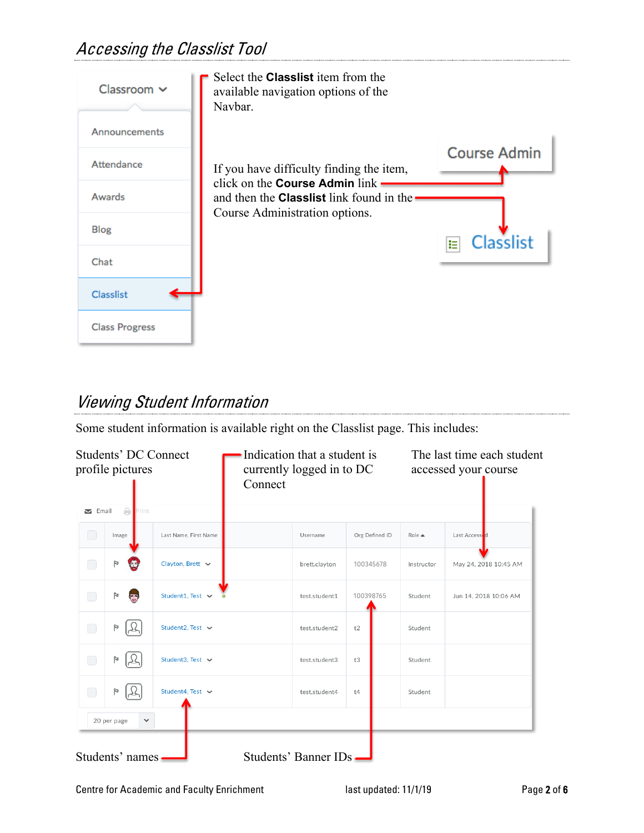# Accessing the Classlist Tool



# Viewing Student Information

Some student information is available right on the Classlist page. This includes:

|              | Students' DC Connect<br>profile pictures |                       | Indication that a student is<br>currently logged in to DC<br>Connect |                       |                | The last time each student<br>accessed your course |                       |
|--------------|------------------------------------------|-----------------------|----------------------------------------------------------------------|-----------------------|----------------|----------------------------------------------------|-----------------------|
| $\sum$ Email | e<br>Print                               |                       |                                                                      |                       |                |                                                    |                       |
| $\bigcirc$   | Image                                    | Last Name, First Name |                                                                      | Username              | Org Defined ID | $Role \triangleq$                                  | Last Accessed         |
| ◯            | P                                        | Clayton, Brett $\sim$ |                                                                      | brett.clayton         | 100345678      | Instructor                                         | May 24, 2018 10:45 AM |
| $\bigcirc$   | P<br>$\overline{(\cdot)}$                | Student1, Test $\vee$ |                                                                      | test.student1         | 100398765      | Student                                            | Jun 14, 2018 10:06 AM |
| $\bigcirc$   | P                                        | Student2, Test ↓      |                                                                      | test.student2         | t2             | Student                                            |                       |
| $\bigcirc$   | P                                        | Student3, Test $\sim$ |                                                                      | test.student3         | t3             | Student                                            |                       |
| $\bigcirc$   | P                                        | Student4. Test $\sim$ |                                                                      | test.student4         | t4             | Student                                            |                       |
|              | 20 per page<br>$\checkmark$              |                       |                                                                      |                       |                |                                                    |                       |
|              | Students' names.                         |                       |                                                                      | Students' Banner IDs. |                |                                                    |                       |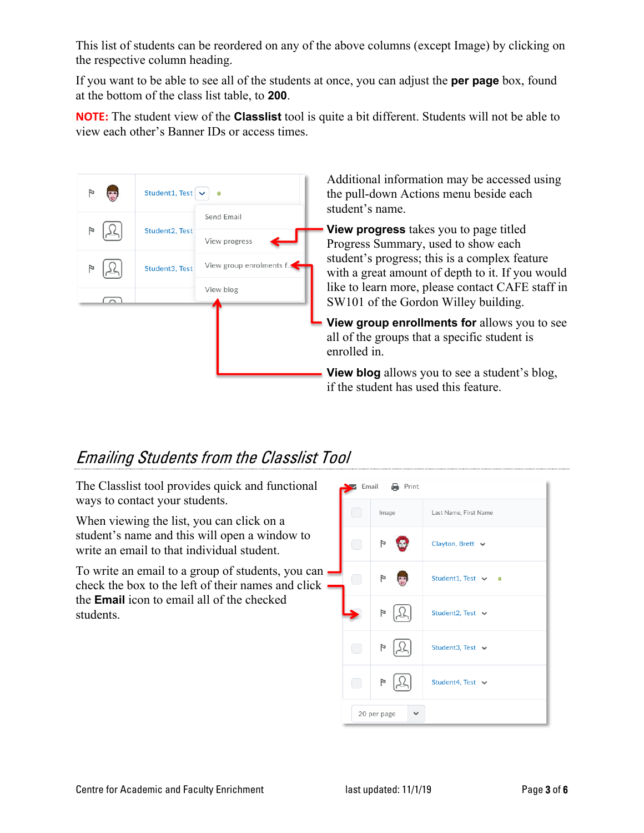This list of students can be reordered on any of the above columns (except Image) by clicking on the respective column heading.

If you want to be able to see all of the students at once, you can adjust the **per page** box, found at the bottom of the class list table, to **200**.

**NOTE:** The student view of the **Classlist** tool is quite a bit different. Students will not be able to view each other's Banner IDs or access times.



Additional information may be accessed using the pull-down Actions menu beside each student's name.

**View progress** takes you to page titled Progress Summary, used to show each student's progress; this is a complex feature with a great amount of depth to it. If you would like to learn more, please contact CAFE staff in SW101 of the Gordon Willey building.

**View group enrollments for** allows you to see all of the groups that a specific student is enrolled in.

**View blog** allows you to see a student's blog, if the student has used this feature.

# Emailing Students from the Classlist Tool

The Classlist tool provides quick and functional ways to contact your students.

When viewing the list, you can click on a student's name and this will open a window to write an email to that individual student.

To write an email to a group of students, you can check the box to the left of their names and click  $$ the **Email** icon to email all of the checked students.

| Email | <b>晶</b> Print    |                                 |
|-------|-------------------|---------------------------------|
|       | Image             | Last Name, First Name           |
|       | $\overline{r}$    | Clayton, Brett $\sim$           |
|       | $\mathbb F$<br>t. | Student1, Test $\vee$ $\bullet$ |
|       | $\mathbb{F}$      | Student2, Test $\vee$           |
| e e   | $\mathbb F$       | Student3, Test $\sim$           |
|       | Þ                 | Student4, Test v                |
|       | 20 per page       |                                 |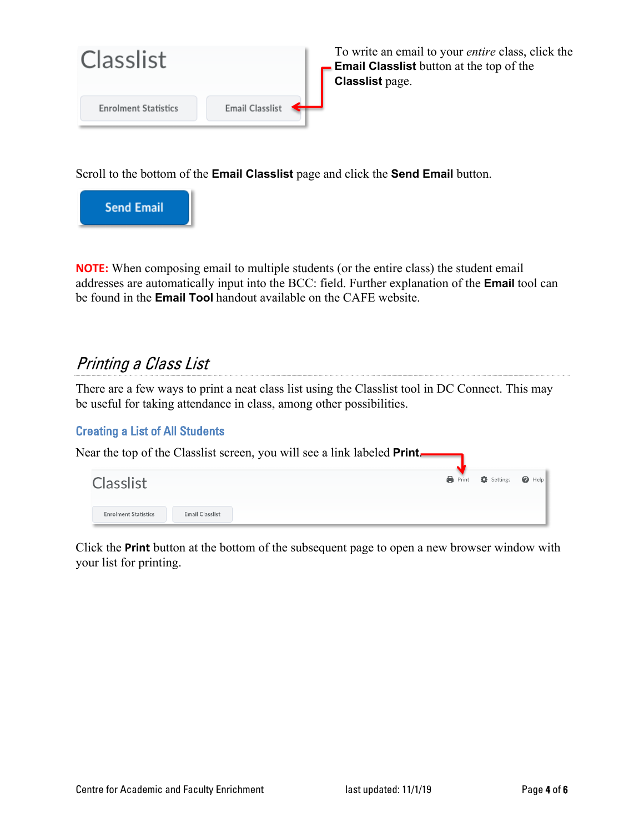

To write an email to your *entire* class, click the **Email Classlist** button at the top of the **Classlist** page.

Scroll to the bottom of the **Email Classlist** page and click the **Send Email** button.



**NOTE:** When composing email to multiple students (or the entire class) the student email addresses are automatically input into the BCC: field. Further explanation of the **Email** tool can be found in the **Email Tool** handout available on the CAFE website.

## Printing a Class List

There are a few ways to print a neat class list using the Classlist tool in DC Connect. This may be useful for taking attendance in class, among other possibilities.

### Creating a List of All Students



Click the **Print** button at the bottom of the subsequent page to open a new browser window with your list for printing.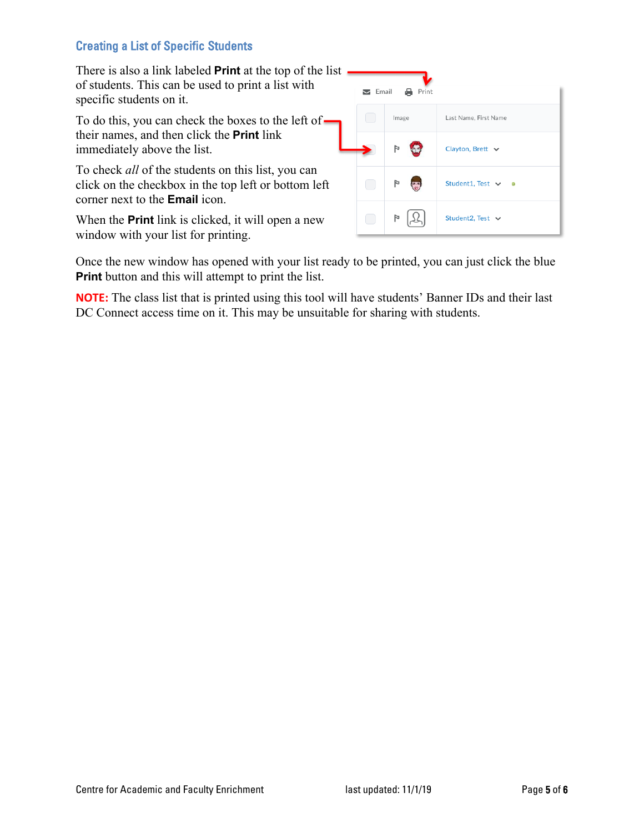### Creating a List of Specific Students

There is also a link labeled **Print** at the top of the list of students. This can be used to print a list with specific students on it.

To do this, you can check the boxes to the left of their names, and then click the **Print** link immediately above the list.

To check *all* of the students on this list, you can click on the checkbox in the top left or bottom left corner next to the **Email** icon.

When the **Print** link is clicked, it will open a new window with your list for printing.

| Print<br>$\sum$ Email<br>a |       |                       |  |  |  |
|----------------------------|-------|-----------------------|--|--|--|
|                            | Image | Last Name, First Name |  |  |  |
|                            | Þ     | Clayton, Brett $\sim$ |  |  |  |
|                            | P     | Student1, Test v      |  |  |  |
|                            | Þ     | Student2, Test $\vee$ |  |  |  |

Once the new window has opened with your list ready to be printed, you can just click the blue **Print** button and this will attempt to print the list.

**NOTE:** The class list that is printed using this tool will have students' Banner IDs and their last DC Connect access time on it. This may be unsuitable for sharing with students.